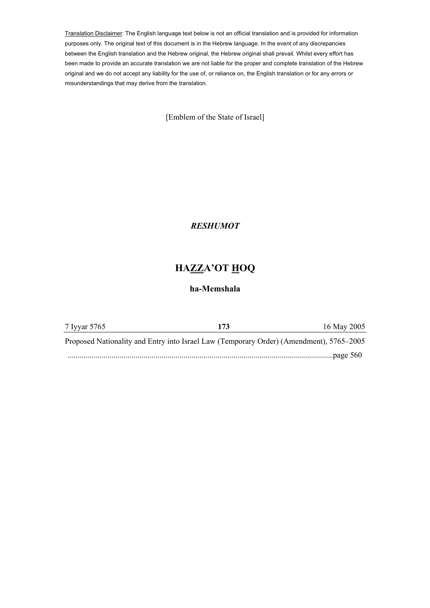Translation Disclaimer: The English language text below is not an official translation and is provided for information purposes only. The original text of this document is in the Hebrew language. In the event of any discrepancies between the English translation and the Hebrew original, the Hebrew original shall prevail. Whilst every effort has been made to provide an accurate translation we are not liable for the proper and complete translation of the Hebrew original and we do not accept any liability for the use of, or reliance on, the English translation or for any errors or misunderstandings that may derive from the translation.

[Emblem of the State of Israel]

## *RESHUMOT*

## **HAZZA'OT HOQ**

## **ha-Memshala**

| 7 Iyyar 5765                                                                            | 173 | 16 May 2005 |
|-----------------------------------------------------------------------------------------|-----|-------------|
| Proposed Nationality and Entry into Israel Law (Temporary Order) (Amendment), 5765–2005 |     |             |
|                                                                                         |     | page $560$  |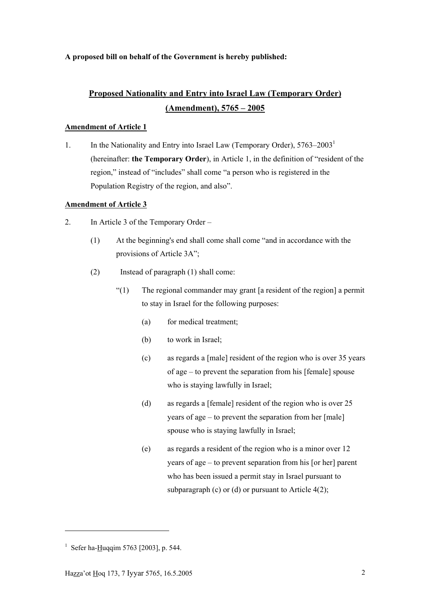## **A proposed bill on behalf of the Government is hereby published:**

# **Proposed Nationality and Entry into Israel Law (Temporary Order) (Amendment), 5765 – 2005**

## **Amendment of Article 1**

1. In the Nationality and Entry into Israel Law (Temporary Order),  $5763-2003<sup>1</sup>$ (hereinafter: **the Temporary Order**), in Article 1, in the definition of "resident of the region," instead of "includes" shall come "a person who is registered in the Population Registry of the region, and also".

## **Amendment of Article 3**

- 2. In Article 3 of the Temporary Order
	- (1) At the beginning's end shall come shall come "and in accordance with the provisions of Article 3A";
	- (2) Instead of paragraph (1) shall come:
		- "(1) The regional commander may grant [a resident of the region] a permit to stay in Israel for the following purposes:
			- (a) for medical treatment;
			- (b) to work in Israel;
			- (c) as regards a [male] resident of the region who is over 35 years of age – to prevent the separation from his [female] spouse who is staying lawfully in Israel;
			- (d) as regards a [female] resident of the region who is over 25 years of age – to prevent the separation from her [male] spouse who is staying lawfully in Israel;
			- (e) as regards a resident of the region who is a minor over 12 years of age – to prevent separation from his [or her] parent who has been issued a permit stay in Israel pursuant to subparagraph (c) or (d) or pursuant to Article  $4(2)$ ;

<sup>&</sup>lt;sup>1</sup> Sefer ha- $\frac{H}{1}$ uqqim 5763 [2003], p. 544.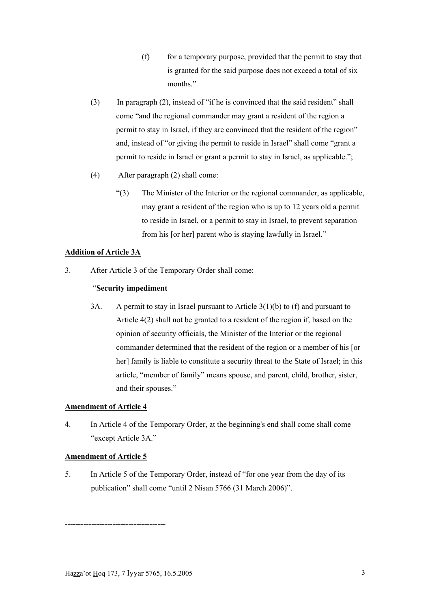- $(f)$  for a temporary purpose, provided that the permit to stay that is granted for the said purpose does not exceed a total of six months."
- (3) In paragraph (2), instead of "if he is convinced that the said resident" shall come "and the regional commander may grant a resident of the region a permit to stay in Israel, if they are convinced that the resident of the region" and, instead of "or giving the permit to reside in Israel" shall come "grant a permit to reside in Israel or grant a permit to stay in Israel, as applicable.";
- (4) After paragraph (2) shall come:
	- "(3) The Minister of the Interior or the regional commander, as applicable, may grant a resident of the region who is up to 12 years old a permit to reside in Israel, or a permit to stay in Israel, to prevent separation from his [or her] parent who is staying lawfully in Israel."

## **Addition of Article 3A**

3. After Article 3 of the Temporary Order shall come:

## "**Security impediment**

3A. A permit to stay in Israel pursuant to Article 3(1)(b) to (f) and pursuant to Article 4(2) shall not be granted to a resident of the region if, based on the opinion of security officials, the Minister of the Interior or the regional commander determined that the resident of the region or a member of his [or her] family is liable to constitute a security threat to the State of Israel; in this article, "member of family" means spouse, and parent, child, brother, sister, and their spouses."

#### **Amendment of Article 4**

4. In Article 4 of the Temporary Order, at the beginning's end shall come shall come "except Article 3A."

#### **Amendment of Article 5**

5. In Article 5 of the Temporary Order, instead of "for one year from the day of its publication" shall come "until 2 Nisan 5766 (31 March 2006)".

**--------------------------------------**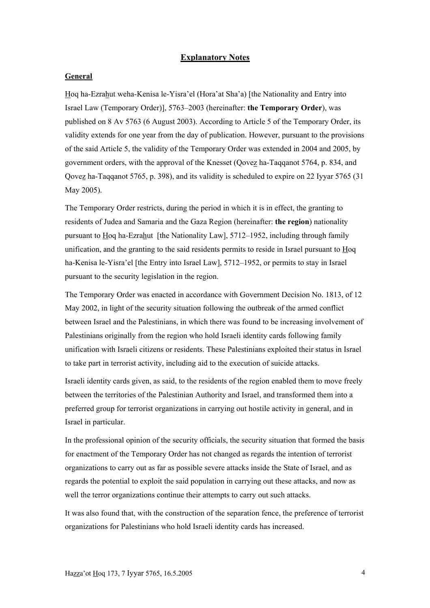#### **Explanatory Notes**

#### **General**

Hoq ha-Ezrahut weha-Kenisa le-Yisra'el (Hora'at Sha'a) [the Nationality and Entry into Israel Law (Temporary Order)], 5763–2003 (hereinafter: **the Temporary Order**), was published on 8 Av 5763 (6 August 2003). According to Article 5 of the Temporary Order, its validity extends for one year from the day of publication. However, pursuant to the provisions of the said Article 5, the validity of the Temporary Order was extended in 2004 and 2005, by government orders, with the approval of the Knesset (Qovez ha-Taqqanot 5764, p. 834, and Qovez ha-Taqqanot 5765, p. 398), and its validity is scheduled to expire on 22 Iyyar 5765 (31 May 2005).

The Temporary Order restricts, during the period in which it is in effect, the granting to residents of Judea and Samaria and the Gaza Region (hereinafter: **the region**) nationality pursuant to Hoq ha-Ezrahut [the Nationality Law], 5712–1952, including through family unification, and the granting to the said residents permits to reside in Israel pursuant to Hoq ha-Kenisa le-Yisra'el [the Entry into Israel Law], 5712–1952, or permits to stay in Israel pursuant to the security legislation in the region.

The Temporary Order was enacted in accordance with Government Decision No. 1813, of 12 May 2002, in light of the security situation following the outbreak of the armed conflict between Israel and the Palestinians, in which there was found to be increasing involvement of Palestinians originally from the region who hold Israeli identity cards following family unification with Israeli citizens or residents. These Palestinians exploited their status in Israel to take part in terrorist activity, including aid to the execution of suicide attacks.

Israeli identity cards given, as said, to the residents of the region enabled them to move freely between the territories of the Palestinian Authority and Israel, and transformed them into a preferred group for terrorist organizations in carrying out hostile activity in general, and in Israel in particular.

In the professional opinion of the security officials, the security situation that formed the basis for enactment of the Temporary Order has not changed as regards the intention of terrorist organizations to carry out as far as possible severe attacks inside the State of Israel, and as regards the potential to exploit the said population in carrying out these attacks, and now as well the terror organizations continue their attempts to carry out such attacks.

It was also found that, with the construction of the separation fence, the preference of terrorist organizations for Palestinians who hold Israeli identity cards has increased.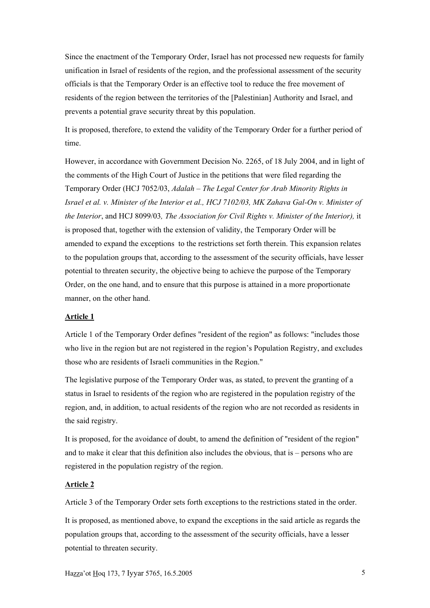Since the enactment of the Temporary Order, Israel has not processed new requests for family unification in Israel of residents of the region, and the professional assessment of the security officials is that the Temporary Order is an effective tool to reduce the free movement of residents of the region between the territories of the [Palestinian] Authority and Israel, and prevents a potential grave security threat by this population.

It is proposed, therefore, to extend the validity of the Temporary Order for a further period of time.

However, in accordance with Government Decision No. 2265, of 18 July 2004, and in light of the comments of the High Court of Justice in the petitions that were filed regarding the Temporary Order (HCJ 7052/03, *Adalah – The Legal Center for Arab Minority Rights in Israel et al. v. Minister of the Interior et al., HCJ 7102/03, MK Zahava Gal-On v. Minister of the Interior*, and HCJ 8099/03*, The Association for Civil Rights v. Minister of the Interior),* it is proposed that, together with the extension of validity, the Temporary Order will be amended to expand the exceptions to the restrictions set forth therein. This expansion relates to the population groups that, according to the assessment of the security officials, have lesser potential to threaten security, the objective being to achieve the purpose of the Temporary Order, on the one hand, and to ensure that this purpose is attained in a more proportionate manner, on the other hand.

#### **Article 1**

Article 1 of the Temporary Order defines "resident of the region" as follows: "includes those who live in the region but are not registered in the region's Population Registry, and excludes those who are residents of Israeli communities in the Region."

The legislative purpose of the Temporary Order was, as stated, to prevent the granting of a status in Israel to residents of the region who are registered in the population registry of the region, and, in addition, to actual residents of the region who are not recorded as residents in the said registry.

It is proposed, for the avoidance of doubt, to amend the definition of "resident of the region" and to make it clear that this definition also includes the obvious, that is – persons who are registered in the population registry of the region.

#### **Article 2**

Article 3 of the Temporary Order sets forth exceptions to the restrictions stated in the order.

It is proposed, as mentioned above, to expand the exceptions in the said article as regards the population groups that, according to the assessment of the security officials, have a lesser potential to threaten security.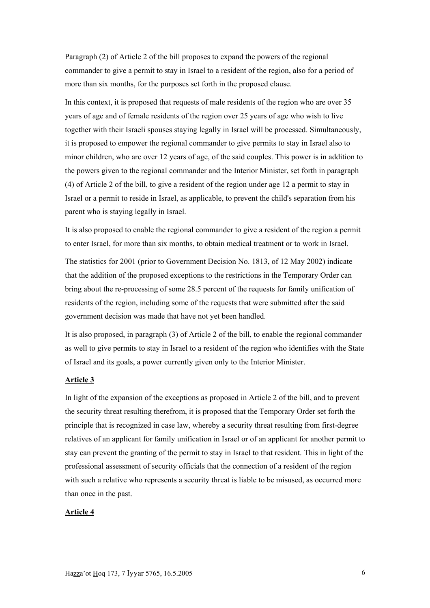Paragraph (2) of Article 2 of the bill proposes to expand the powers of the regional commander to give a permit to stay in Israel to a resident of the region, also for a period of more than six months, for the purposes set forth in the proposed clause.

In this context, it is proposed that requests of male residents of the region who are over 35 years of age and of female residents of the region over 25 years of age who wish to live together with their Israeli spouses staying legally in Israel will be processed. Simultaneously, it is proposed to empower the regional commander to give permits to stay in Israel also to minor children, who are over 12 years of age, of the said couples. This power is in addition to the powers given to the regional commander and the Interior Minister, set forth in paragraph (4) of Article 2 of the bill, to give a resident of the region under age 12 a permit to stay in Israel or a permit to reside in Israel, as applicable, to prevent the child's separation from his parent who is staying legally in Israel.

It is also proposed to enable the regional commander to give a resident of the region a permit to enter Israel, for more than six months, to obtain medical treatment or to work in Israel.

The statistics for 2001 (prior to Government Decision No. 1813, of 12 May 2002) indicate that the addition of the proposed exceptions to the restrictions in the Temporary Order can bring about the re-processing of some 28.5 percent of the requests for family unification of residents of the region, including some of the requests that were submitted after the said government decision was made that have not yet been handled.

It is also proposed, in paragraph (3) of Article 2 of the bill, to enable the regional commander as well to give permits to stay in Israel to a resident of the region who identifies with the State of Israel and its goals, a power currently given only to the Interior Minister.

#### **Article 3**

In light of the expansion of the exceptions as proposed in Article 2 of the bill, and to prevent the security threat resulting therefrom, it is proposed that the Temporary Order set forth the principle that is recognized in case law, whereby a security threat resulting from first-degree relatives of an applicant for family unification in Israel or of an applicant for another permit to stay can prevent the granting of the permit to stay in Israel to that resident. This in light of the professional assessment of security officials that the connection of a resident of the region with such a relative who represents a security threat is liable to be misused, as occurred more than once in the past.

#### **Article 4**